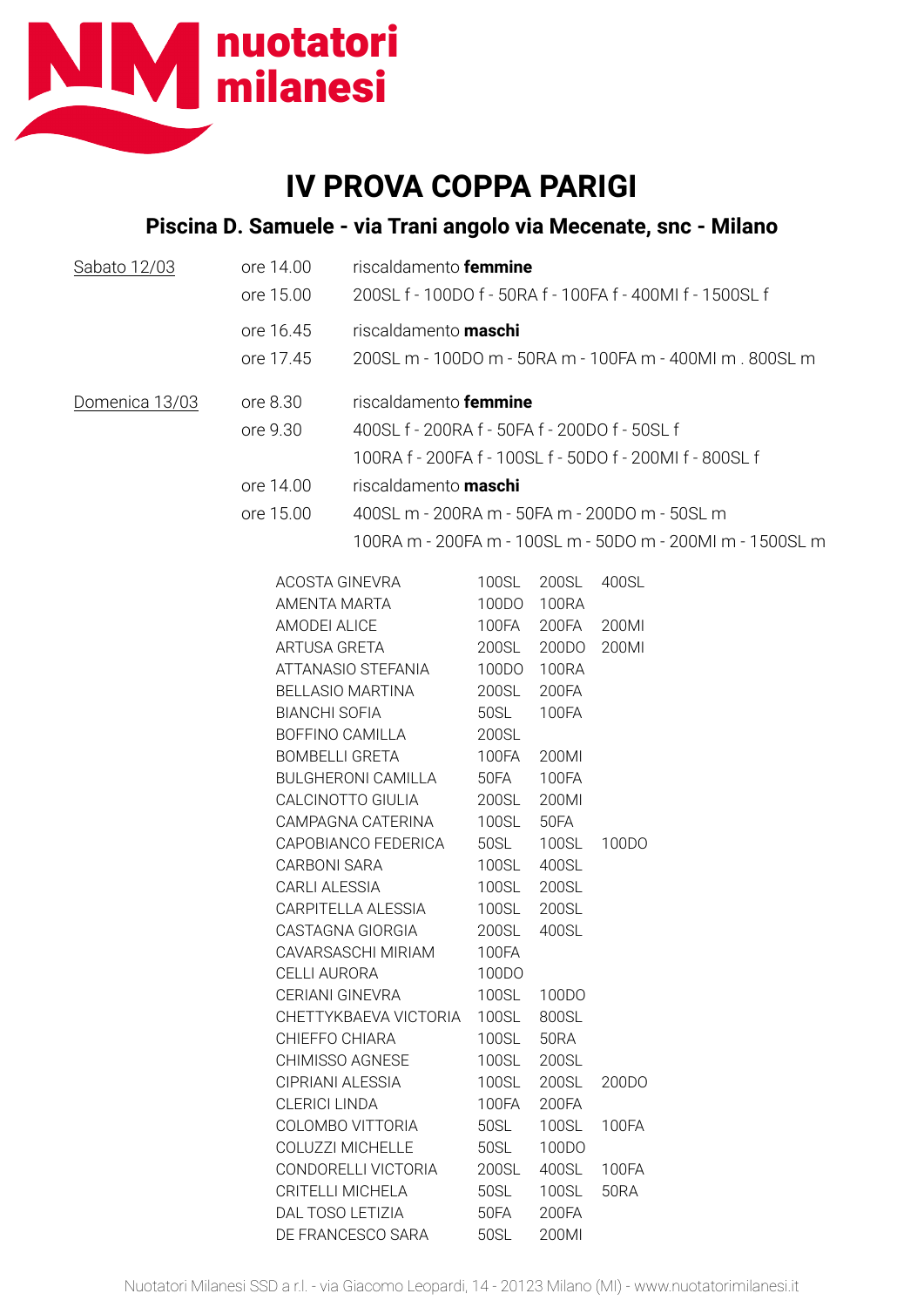

## **IV PROVA COPPA PARIGI**

## **Piscina D. Samuele - via Trani angolo via Mecenate, snc - Milano**

| Sabato 12/03   | ore 14.00<br>ore 15.00 | riscaldamento femmine<br>200SL f - 100DO f - 50RA f - 100FA f - 400MI f - 1500SL f                                                        |
|----------------|------------------------|-------------------------------------------------------------------------------------------------------------------------------------------|
|                | ore 16.45<br>ore 17.45 | riscaldamento <b>maschi</b><br>200SL m - 100DO m - 50RA m - 100FA m - 400ML m . 800SL m                                                   |
| Domenica 13/03 | ore 8.30<br>ore 9.30   | riscaldamento femmine<br>400SL f - 200RA f - 50FA f - 200DO f - 50SL f<br>100RA f - 200FA f - 100SL f - 50DO f - 200MI f - 800SL f        |
|                | ore 14.00<br>ore 15.00 | riscaldamento <b>maschi</b><br>400SL m - 200RA m - 50FA m - 200DO m - 50SL m<br>100RA m - 200FA m - 100SL m - 50DO m - 200MI m - 1500SL m |
|                |                        | 100SI<br>200SI<br>400SI<br>ACOSTA GINEVRA                                                                                                 |

| AMENTA MARTA                                   |             | 100DO 100RA        |  |
|------------------------------------------------|-------------|--------------------|--|
| AMODEI ALICE<br>ARTUSA GRETA                   |             | 100FA 200FA 200MI  |  |
|                                                |             | 200SL 200DO 200MI  |  |
| ATTANASIO STEFANIA 100DO 100RA                 |             |                    |  |
| BELLASIO MARTINA 200SL 200FA                   |             |                    |  |
| <b>BIANCHI SOFIA</b>                           | 50SL 100FA  |                    |  |
|                                                |             |                    |  |
| BOMBELLI GRETA 100FA 200MI                     |             |                    |  |
| BULGHERONI CAMILLA 50FA 100FA                  |             |                    |  |
| CALCINOTTO GIULIA 200SL 200MI                  |             |                    |  |
| CAMPAGNA CATERINA 100SL 50FA                   |             |                    |  |
| CAPOBIANCO FEDERICA                            |             | 50SL  100SL  100DO |  |
| CARBONI SARA                                   |             | 100SL 400SL        |  |
| CARLI ALESSIA                                  | 100SL 200SL |                    |  |
| CARPITELLA ALESSIA 1998L 2008L                 |             |                    |  |
| CASTAGNA GIORGIA 200SL 400SL                   |             |                    |  |
| CAVARSASCHI MIRIAM 100FA<br>CELLI AURORA 100DO |             |                    |  |
|                                                |             |                    |  |
| CERIANI GINEVRA                                |             | 100SL 100DO        |  |
| CHETTYKBAEVA VICTORIA 100SL 800SL              |             |                    |  |
| CHIEFFO CHIARA                                 | 100SL 50RA  |                    |  |
| CHIMISSO AGNESE 100SL 200SL                    |             |                    |  |
| CIPRIANI ALESSIA 100SL 200SL 200DO             |             |                    |  |
| CLERICI LINDA                                  |             | 100FA 200FA        |  |
| COLOMBO VITTORIA 50SL 100SL 100FA              |             |                    |  |
| COLUZZI MICHELLE 50SL 100DO                    |             |                    |  |
| CONDORELLI VICTORIA 200SL 400SL 100FA          |             |                    |  |
| CRITELLI MICHELA 50SL 100SL 50RA               |             |                    |  |
| DAL TOSO LETIZIA 50FA 200FA                    |             |                    |  |
| DE FRANCESCO SARA 50SL 200MI                   |             |                    |  |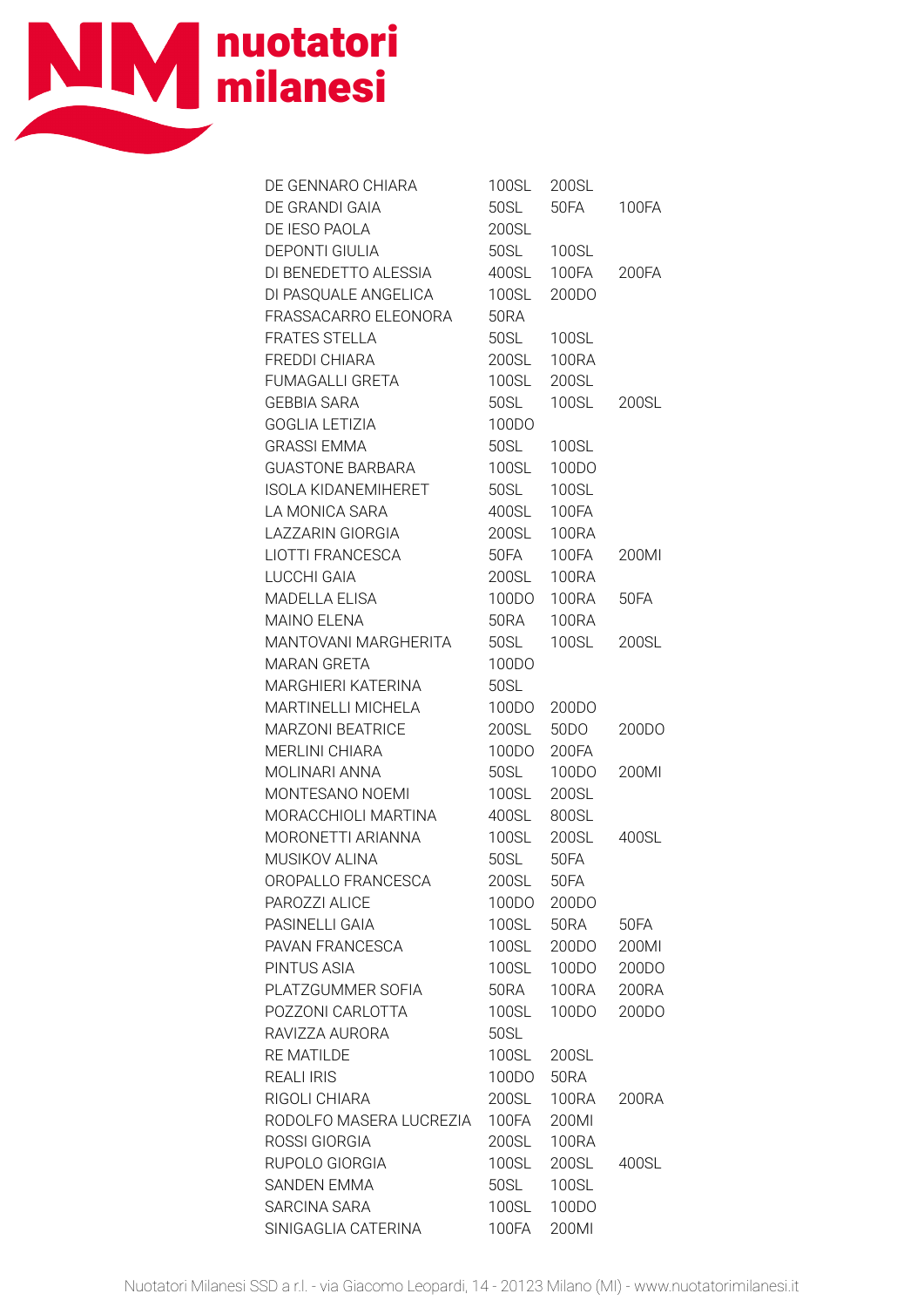

| DE GENNARO CHIARA          | 100SL        | 200SL        |       |
|----------------------------|--------------|--------------|-------|
| DE GRANDI GAIA             | 50SL         | 50FA         | 100FA |
| DE IESO PAOLA              | 200SL        |              |       |
| <b>DEPONTI GIULIA</b>      | 50SL         | 100SL        |       |
| DI BENEDETTO ALESSIA       | 400SL        | 100FA        | 200FA |
| DI PASQUALE ANGELICA       | 100SL        | 200DO        |       |
| FRASSACARRO ELEONORA       | <b>50RA</b>  |              |       |
| <b>FRATES STELLA</b>       | 50SL         | 100SL        |       |
| <b>FREDDI CHIARA</b>       | 200SL        | <b>100RA</b> |       |
| <b>FUMAGALLI GRETA</b>     | <b>100SL</b> | 200SL        |       |
| <b>GEBBIA SARA</b>         | 50SL         | <b>100SL</b> | 200SL |
| <b>GOGLIA LETIZIA</b>      | 100DO        |              |       |
| <b>GRASSI EMMA</b>         | <b>50SL</b>  | 100SL        |       |
| <b>GUASTONE BARBARA</b>    | 100SL        | 100DO        |       |
| <b>ISOLA KIDANEMIHERET</b> | 50SL         | 100SL        |       |
| LA MONICA SARA             | 400SL        | <b>100FA</b> |       |
| LAZZARIN GIORGIA           | 200SL        | <b>100RA</b> |       |
| LIOTTI FRANCESCA           | 50FA         | 100FA        | 200MI |
| LUCCHI GAIA                | 200SL        | <b>100RA</b> |       |
| <b>MADELLA ELISA</b>       | 100DO        | <b>100RA</b> | 50FA  |
| <b>MAINO ELENA</b>         | 50RA         | <b>100RA</b> |       |
| MANTOVANI MARGHERITA       | 50SL         | <b>100SL</b> | 200SL |
| <b>MARAN GRETA</b>         | 100DO        |              |       |
| <b>MARGHIERI KATERINA</b>  | 50SL         |              |       |
| MARTINELLI MICHELA         | 100DO        | 200DO        |       |
| <b>MARZONI BEATRICE</b>    | 200SL        | 50DO         | 200DO |
| <b>MERLINI CHIARA</b>      | 100DO        | 200FA        |       |
| MOLINARI ANNA              | 50SL         | 100DO        | 200MI |
| <b>MONTESANO NOEMI</b>     | 100SL        | 200SL        |       |
| MORACCHIOLI MARTINA        | 400SL        | 800SL        |       |
| MORONETTI ARIANNA          | <b>100SL</b> | 200SL        | 400SL |
| <b>MUSIKOV ALINA</b>       | 50SL         | 50FA         |       |
| OROPALLO FRANCESCA         | 200SL        | 50FA         |       |
| PAROZZI ALICE              | 100DO        | 200DO        |       |
| PASINELLI GAIA             | 100SL        | <b>50RA</b>  | 50FA  |
| PAVAN FRANCESCA            | 100SL        | 200DO        | 200MI |
| PINTUS ASIA                | <b>100SL</b> | 100DO        | 200DO |
| PLATZGUMMER SOFIA          | 50RA         | <b>100RA</b> | 200RA |
| POZZONI CARLOTTA           | 100SL        | 100DO        | 200DO |
| RAVIZZA AURORA             | 50SL         |              |       |
| <b>RE MATILDE</b>          | 100SL        | 200SL        |       |
| <b>REALI IRIS</b>          | 100DO        | <b>50RA</b>  |       |
| RIGOLI CHIARA              | 200SL        | 100RA        | 200RA |
| RODOLFO MASERA LUCREZIA    | 100FA        | 200MI        |       |
| ROSSI GIORGIA              | 200SL        | <b>100RA</b> |       |
| RUPOLO GIORGIA             | 100SL        | 200SL        | 400SL |
| SANDEN EMMA                | 50SL         | 100SL        |       |
| SARCINA SARA               | 100SL        | 100DO        |       |
| SINIGAGLIA CATERINA        | 100FA        | 200MI        |       |
|                            |              |              |       |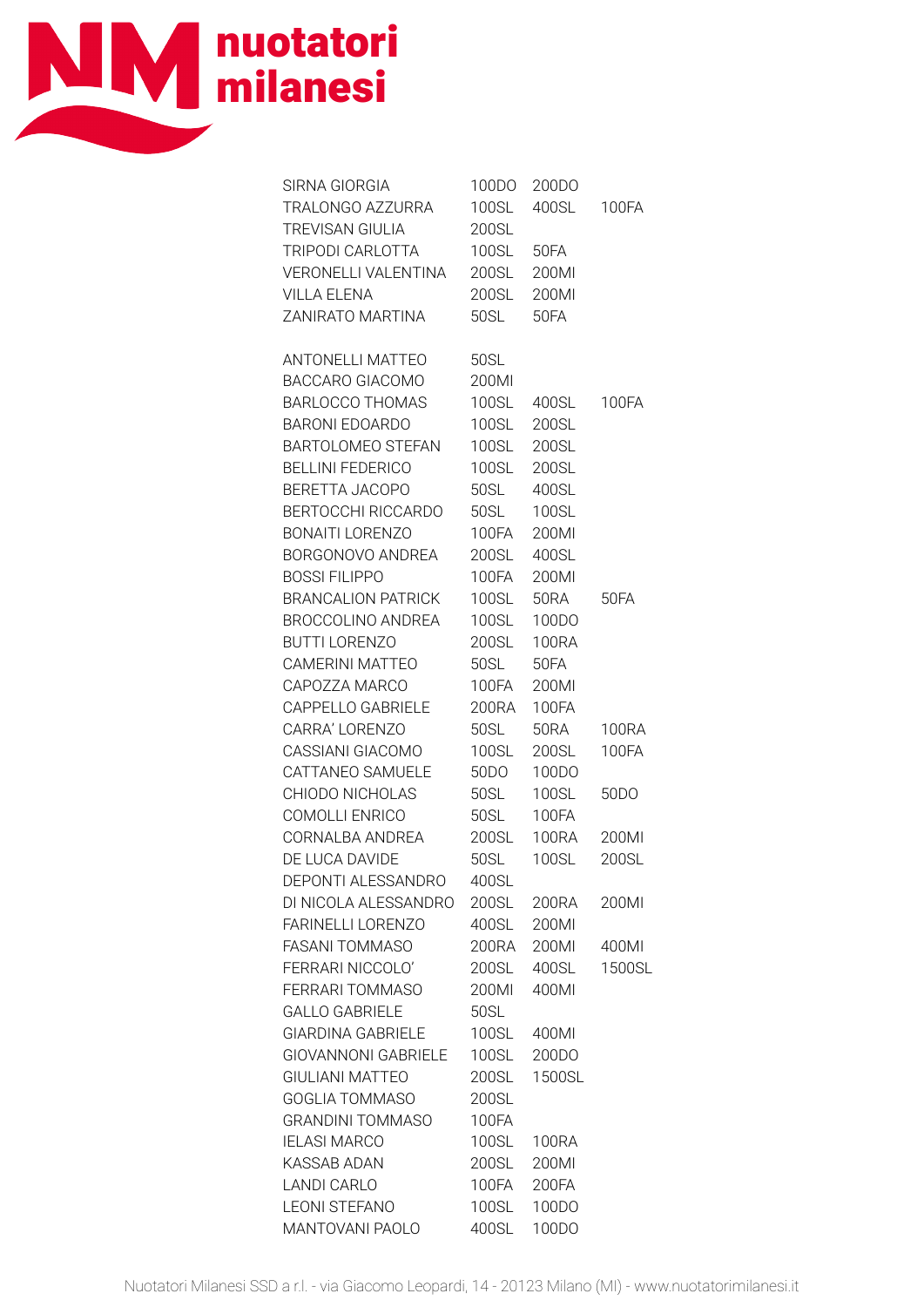

| SIRNA GIORGIA<br>TRALONGO AZZURRA<br><b>TREVISAN GIULIA</b><br>TRIPODI CARLOTTA | 100DO<br><b>100SL</b><br>200SL<br><b>100SL</b> | 200DO<br>400SL | 100FA             |
|---------------------------------------------------------------------------------|------------------------------------------------|----------------|-------------------|
| VERONELLI VALENTINA                                                             | 200SL                                          | 50FA<br>200MI  |                   |
| <b>VILLA ELENA</b>                                                              | 200SL                                          | 200MI          |                   |
| ZANIRATO MARTINA                                                                | 50SL                                           | 50FA           |                   |
|                                                                                 |                                                |                |                   |
| <b>ANTONELLI MATTEO</b><br>BACCARO GIACOMO<br><b>BARLOCCO THOMAS</b>            | 50SL<br>200MI<br>100SL                         | 400SL 100FA    |                   |
| <b>BARONI EDOARDO</b>                                                           | <b>100SL</b>                                   | 200SL          |                   |
| BARTOLOMEO STEFAN                                                               | <b>100SL</b>                                   | 200SL          |                   |
| <b>BELLINI FEDERICO</b>                                                         | <b>100SL</b><br>50SL                           | 200SL          |                   |
| BERETTA JACOPO<br><b>BERTOCCHI RICCARDO</b>                                     | 50SL                                           | 400SL<br>100SL |                   |
| <b>BONAITI LORENZO</b>                                                          | 100FA                                          | 200MI          |                   |
| BORGONOVO ANDREA                                                                | 200SL                                          | 400SL          |                   |
| <b>BOSSI FILIPPO</b>                                                            | 100FA                                          | 200MI          |                   |
| <b>BRANCALION PATRICK</b>                                                       | <b>100SL</b>                                   | 50RA           | 50FA              |
| <b>BROCCOLINO ANDREA</b>                                                        | <b>100SL</b>                                   | 100DO          |                   |
| <b>BUTTI LORENZO</b>                                                            | 200SL                                          | <b>100RA</b>   |                   |
| CAMERINI MATTEO                                                                 | 50SL                                           | 50FA           |                   |
| CAPOZZA MARCO                                                                   | 100FA                                          | 200MI          |                   |
| CAPPELLO GABRIELE                                                               | 200RA                                          | 100FA          |                   |
| CARRA' LORENZO                                                                  | 50SL                                           | 50RA           | 100RA             |
| CASSIANI GIACOMO                                                                | <b>100SL</b>                                   | <b>200SL</b>   | 100FA             |
| CATTANEO SAMUELE                                                                | 50DO                                           | 100DO          |                   |
| CHIODO NICHOLAS                                                                 | 50SL                                           | 100SL          | 50 <sub>D</sub> O |
| COMOLLI ENRICO                                                                  | 50SL                                           | 100FA          |                   |
| CORNALBA ANDREA                                                                 | 200SL                                          | 100RA          | 200MI             |
| DE LUCA DAVIDE                                                                  | 50SL                                           | 100SL          | 200SL             |
| DEPONTI ALESSANDRO                                                              | 400SL                                          |                |                   |
| DI NICOLA ALESSANDRO                                                            | 200SL                                          | 200RA          | 200MI             |
| <b>FARINELLI LORENZO</b>                                                        | 400SL                                          | 200MI          |                   |
| <b>FASANI TOMMASO</b>                                                           | 200RA                                          | 200MI          | 400MI             |
| FERRARI NICCOLO'                                                                | 200SL                                          | 400SL          | 1500SL            |
| FERRARI TOMMASO<br>GALLO GABRIFLE                                               | 200MI                                          | 400MI          |                   |
| <b>GIARDINA GABRIELE</b>                                                        | 50SL<br>100SL                                  | 400MI          |                   |
| <b>GIOVANNONI GABRIELE</b>                                                      | 100SL                                          | 200DO          |                   |
| <b>GIULIANI MATTEO</b>                                                          | 200SL                                          | 1500SL         |                   |
| GOGLIA TOMMASO                                                                  | 200SL                                          |                |                   |
| <b>GRANDINI TOMMASO</b>                                                         | <b>100FA</b>                                   |                |                   |
| <b>IELASI MARCO</b>                                                             | 100SL                                          | 100RA          |                   |
| KASSAB ADAN                                                                     | 200SL                                          | 200MI          |                   |
| <b>LANDI CARLO</b>                                                              | 100FA                                          | 200FA          |                   |
| <b>LEONI STEFANO</b>                                                            | <b>100SL</b>                                   | 100DO          |                   |
| MANTOVANI PAOLO                                                                 | 400SL                                          | 100DO          |                   |
|                                                                                 |                                                |                |                   |